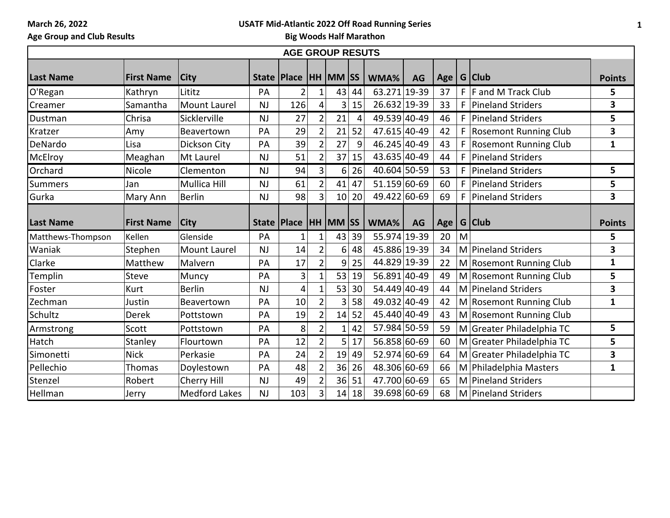**March 26, 2022**

## **USATF Mid-Atlantic 2022 Off Road Running Series**

**Age Group and Club Results**

**Big Woods Half Marathon**

| <b>AGE GROUP RESUTS</b> |                   |                      |           |                              |                |                 |    |              |           |    |    |                              |               |
|-------------------------|-------------------|----------------------|-----------|------------------------------|----------------|-----------------|----|--------------|-----------|----|----|------------------------------|---------------|
| <b>Last Name</b>        | <b>First Name</b> | <b>City</b>          |           | State   Place   HH   MM   SS |                |                 |    | WMA%         | <b>AG</b> |    |    | Age   G   Club               | <b>Points</b> |
| O'Regan                 | Kathryn           | Lititz               | PA        | $\overline{2}$               | 1              | 43              | 44 | 63.271 19-39 |           | 37 |    | $F$ F and M Track Club       | 5             |
| Creamer                 | Samantha          | <b>Mount Laurel</b>  | <b>NJ</b> | 126                          | 4              | 3               | 15 | 26.632 19-39 |           | 33 | F. | Pineland Striders            | 3             |
| Dustman                 | Chrisa            | Sicklerville         | <b>NJ</b> | 27                           | $\overline{2}$ | 21              | 4  | 49.539 40-49 |           | 46 | F  | <b>Pineland Striders</b>     | 5             |
| Kratzer                 | Amy               | Beavertown           | PA        | 29                           | $\overline{2}$ | 21              | 52 | 47.615 40-49 |           | 42 | F  | <b>Rosemont Running Club</b> | 3             |
| DeNardo                 | Lisa              | Dickson City         | PA        | 39                           | $\overline{2}$ | 27              | 9  | 46.245 40-49 |           | 43 | F  | <b>Rosemont Running Club</b> | $\mathbf{1}$  |
| McElroy                 | Meaghan           | Mt Laurel            | <b>NJ</b> | 51                           | $\overline{2}$ | 37              | 15 | 43.635 40-49 |           | 44 | F. | Pineland Striders            |               |
| Orchard                 | Nicole            | Clementon            | NJ        | 94                           | 3 <sup>1</sup> | 6 <sup>1</sup>  | 26 | 40.604 50-59 |           | 53 | F. | Pineland Striders            | 5             |
| <b>Summers</b>          | Jan               | <b>Mullica Hill</b>  | NJ        | 61                           | $\overline{2}$ | 41              | 47 | 51.159 60-69 |           | 60 | F. | Pineland Striders            | 5             |
| Gurka                   | Mary Ann          | <b>Berlin</b>        | <b>NJ</b> | 98                           | $\overline{3}$ | 10 <sup>1</sup> | 20 | 49.422 60-69 |           | 69 | F. | Pineland Striders            | 3             |
| <b>Last Name</b>        | <b>First Name</b> | <b>City</b>          |           | State   Place                |                | HH MM SS        |    | WMA%         | <b>AG</b> |    |    | Age   G   Club               | <b>Points</b> |
| Matthews-Thompson       | Kellen            | Glenside             | PA        |                              | 1              | 43              | 39 | 55.974 19-39 |           | 20 | M  |                              | 5             |
| Waniak                  | Stephen           | Mount Laurel         | <b>NJ</b> | 14                           | $\overline{2}$ | 6               | 48 | 45.886 19-39 |           | 34 |    | M Pineland Striders          | 3             |
| Clarke                  | Matthew           | Malvern              | PA        | 17                           | $\overline{2}$ | 9               | 25 | 44.829 19-39 |           | 22 |    | M Rosemont Running Club      | $\mathbf{1}$  |
| Templin                 | Steve             | Muncy                | PA        | 3                            | 1              | 53              | 19 | 56.891 40-49 |           | 49 |    | M Rosemont Running Club      | 5             |
| Foster                  | Kurt              | <b>Berlin</b>        | NJ        | 4                            | $\mathbf{1}$   | 53              | 30 | 54.449 40-49 |           | 44 |    | M Pineland Striders          | 3             |
| Zechman                 | Justin            | Beavertown           | PA        | 10                           | $\overline{2}$ | 3               | 58 | 49.032 40-49 |           | 42 |    | M Rosemont Running Club      | $\mathbf{1}$  |
| Schultz                 | <b>Derek</b>      | Pottstown            | PA        | 19                           | $\overline{2}$ | 14              | 52 | 45.440 40-49 |           | 43 |    | M Rosemont Running Club      |               |
| Armstrong               | Scott             | Pottstown            | PA        | 8                            | $\overline{2}$ | 1 <sup>1</sup>  | 42 | 57.984 50-59 |           | 59 |    | M Greater Philadelphia TC    | 5             |
| Hatch                   | Stanley           | Flourtown            | PA        | 12                           | $\overline{2}$ | 5               | 17 | 56.858 60-69 |           | 60 |    | M Greater Philadelphia TC    | 5             |
| Simonetti               | <b>Nick</b>       | Perkasie             | PA        | 24                           | $\overline{2}$ | 19              | 49 | 52.974 60-69 |           | 64 |    | M Greater Philadelphia TC    | 3             |
| Pellechio               | Thomas            | Doylestown           | PA        | 48                           | $\overline{2}$ | 36              | 26 | 48.306 60-69 |           | 66 |    | M Philadelphia Masters       | 1             |
| Stenzel                 | Robert            | Cherry Hill          | <b>NJ</b> | 49                           | $\overline{2}$ | 36              | 51 | 47.700 60-69 |           | 65 |    | M Pineland Striders          |               |
| Hellman                 | Jerry             | <b>Medford Lakes</b> | <b>NJ</b> | 103                          | $\overline{3}$ | 14              | 18 | 39.698 60-69 |           | 68 |    | M Pineland Striders          |               |